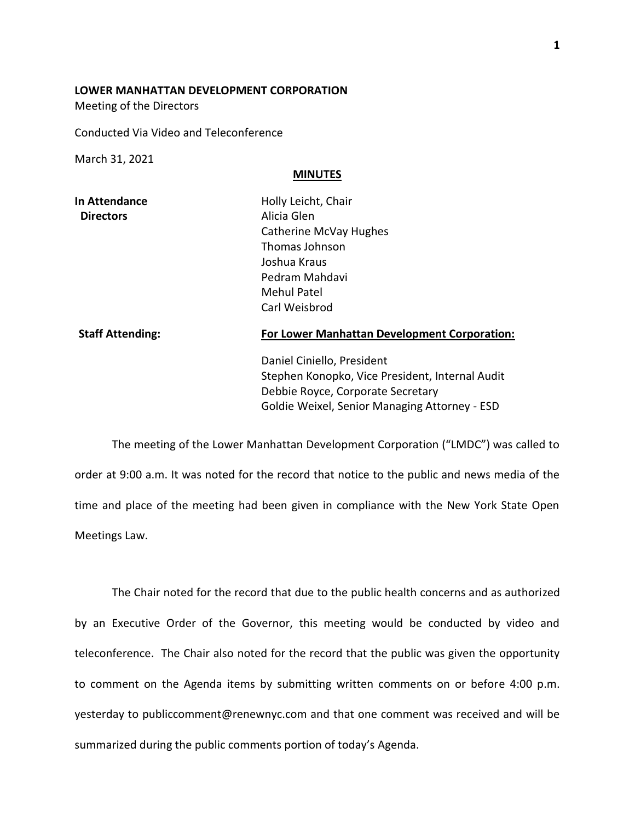## **LOWER MANHATTAN DEVELOPMENT CORPORATION**

Meeting of the Directors

Conducted Via Video and Teleconference

March 31, 2021

## **MINUTES**

| <b>In Attendance</b> | Holly Leicht, Chair    |
|----------------------|------------------------|
| <b>Directors</b>     | Alicia Glen            |
|                      | Catherine McVay Hughes |
|                      | Thomas Johnson         |
|                      | Joshua Kraus           |
|                      | Pedram Mahdavi         |
|                      | <b>Mehul Patel</b>     |
|                      | Carl Weisbrod          |
|                      |                        |

## **Staff Attending: For Lower Manhattan Development Corporation:**

Daniel Ciniello, President Stephen Konopko, Vice President, Internal Audit Debbie Royce, Corporate Secretary Goldie Weixel, Senior Managing Attorney - ESD

The meeting of the Lower Manhattan Development Corporation ("LMDC") was called to order at 9:00 a.m. It was noted for the record that notice to the public and news media of the time and place of the meeting had been given in compliance with the New York State Open Meetings Law.

The Chair noted for the record that due to the public health concerns and as authorized by an Executive Order of the Governor, this meeting would be conducted by video and teleconference. The Chair also noted for the record that the public was given the opportunity to comment on the Agenda items by submitting written comments on or before 4:00 p.m. yesterday to publiccomment@renewnyc.com and that one comment was received and will be summarized during the public comments portion of today's Agenda.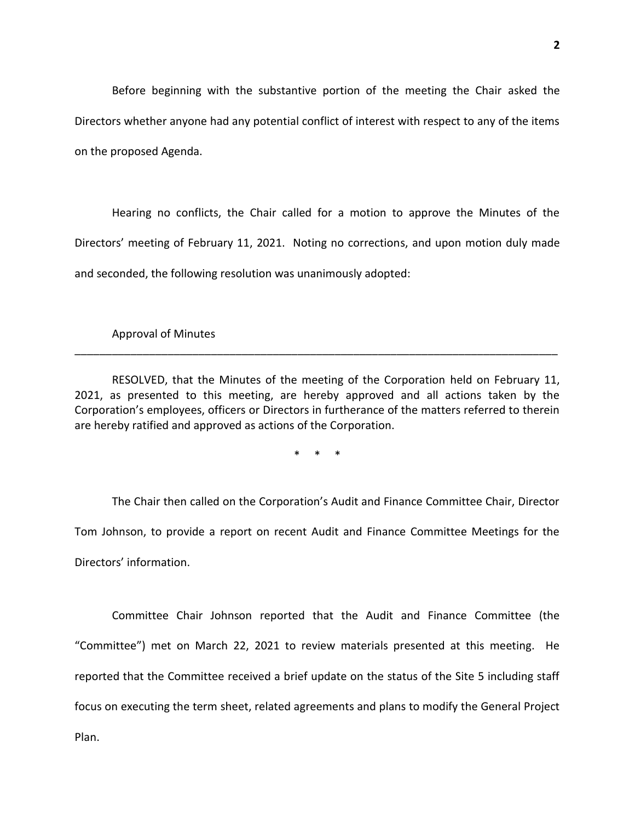Before beginning with the substantive portion of the meeting the Chair asked the Directors whether anyone had any potential conflict of interest with respect to any of the items on the proposed Agenda.

Hearing no conflicts, the Chair called for a motion to approve the Minutes of the Directors' meeting of February 11, 2021. Noting no corrections, and upon motion duly made and seconded, the following resolution was unanimously adopted:

Approval of Minutes

RESOLVED, that the Minutes of the meeting of the Corporation held on February 11, 2021, as presented to this meeting, are hereby approved and all actions taken by the Corporation's employees, officers or Directors in furtherance of the matters referred to therein are hereby ratified and approved as actions of the Corporation.

\_\_\_\_\_\_\_\_\_\_\_\_\_\_\_\_\_\_\_\_\_\_\_\_\_\_\_\_\_\_\_\_\_\_\_\_\_\_\_\_\_\_\_\_\_\_\_\_\_\_\_\_\_\_\_\_\_\_\_\_\_\_\_\_\_\_\_\_\_\_\_\_\_\_\_\_\_\_

\* \* \*

The Chair then called on the Corporation's Audit and Finance Committee Chair, Director Tom Johnson, to provide a report on recent Audit and Finance Committee Meetings for the Directors' information.

Committee Chair Johnson reported that the Audit and Finance Committee (the "Committee") met on March 22, 2021 to review materials presented at this meeting. He reported that the Committee received a brief update on the status of the Site 5 including staff focus on executing the term sheet, related agreements and plans to modify the General Project Plan.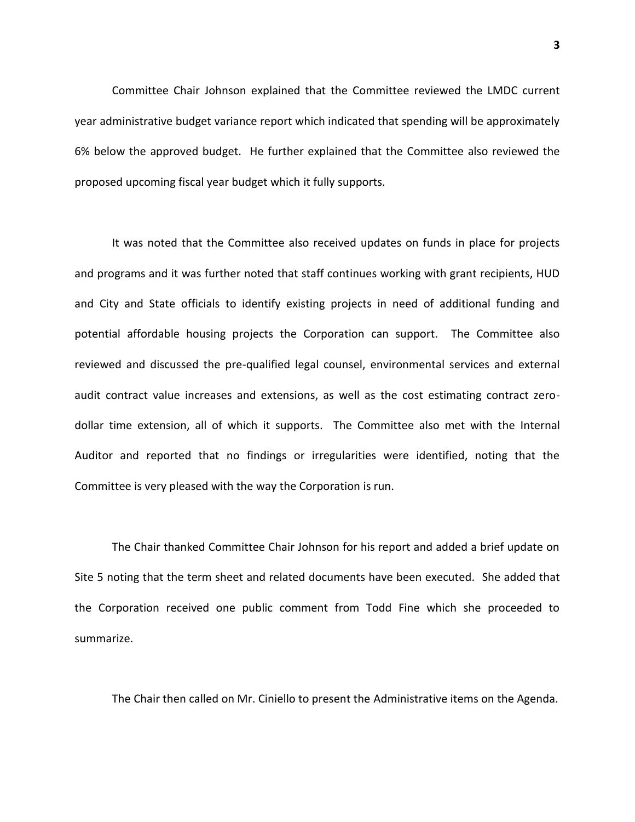Committee Chair Johnson explained that the Committee reviewed the LMDC current year administrative budget variance report which indicated that spending will be approximately 6% below the approved budget. He further explained that the Committee also reviewed the proposed upcoming fiscal year budget which it fully supports.

It was noted that the Committee also received updates on funds in place for projects and programs and it was further noted that staff continues working with grant recipients, HUD and City and State officials to identify existing projects in need of additional funding and potential affordable housing projects the Corporation can support. The Committee also reviewed and discussed the pre-qualified legal counsel, environmental services and external audit contract value increases and extensions, as well as the cost estimating contract zerodollar time extension, all of which it supports. The Committee also met with the Internal Auditor and reported that no findings or irregularities were identified, noting that the Committee is very pleased with the way the Corporation is run.

The Chair thanked Committee Chair Johnson for his report and added a brief update on Site 5 noting that the term sheet and related documents have been executed. She added that the Corporation received one public comment from Todd Fine which she proceeded to summarize.

The Chair then called on Mr. Ciniello to present the Administrative items on the Agenda.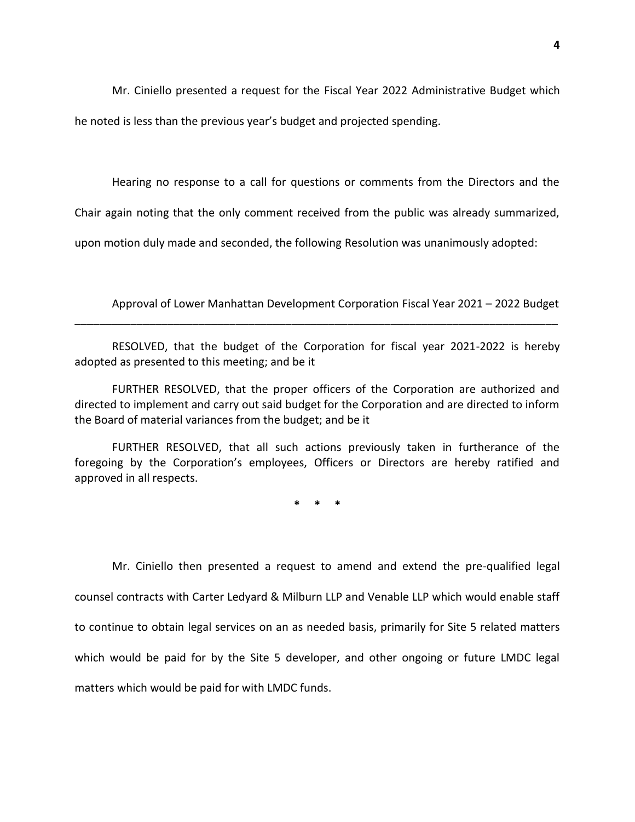Mr. Ciniello presented a request for the Fiscal Year 2022 Administrative Budget which he noted is less than the previous year's budget and projected spending.

Hearing no response to a call for questions or comments from the Directors and the

Chair again noting that the only comment received from the public was already summarized,

upon motion duly made and seconded, the following Resolution was unanimously adopted:

Approval of Lower Manhattan Development Corporation Fiscal Year 2021 – 2022 Budget

RESOLVED, that the budget of the Corporation for fiscal year 2021-2022 is hereby adopted as presented to this meeting; and be it

\_\_\_\_\_\_\_\_\_\_\_\_\_\_\_\_\_\_\_\_\_\_\_\_\_\_\_\_\_\_\_\_\_\_\_\_\_\_\_\_\_\_\_\_\_\_\_\_\_\_\_\_\_\_\_\_\_\_\_\_\_\_\_\_\_\_\_\_\_\_\_\_\_\_\_\_\_\_

FURTHER RESOLVED, that the proper officers of the Corporation are authorized and directed to implement and carry out said budget for the Corporation and are directed to inform the Board of material variances from the budget; and be it

FURTHER RESOLVED, that all such actions previously taken in furtherance of the foregoing by the Corporation's employees, Officers or Directors are hereby ratified and approved in all respects.

**\* \* \***

Mr. Ciniello then presented a request to amend and extend the pre-qualified legal counsel contracts with Carter Ledyard & Milburn LLP and Venable LLP which would enable staff to continue to obtain legal services on an as needed basis, primarily for Site 5 related matters which would be paid for by the Site 5 developer, and other ongoing or future LMDC legal matters which would be paid for with LMDC funds.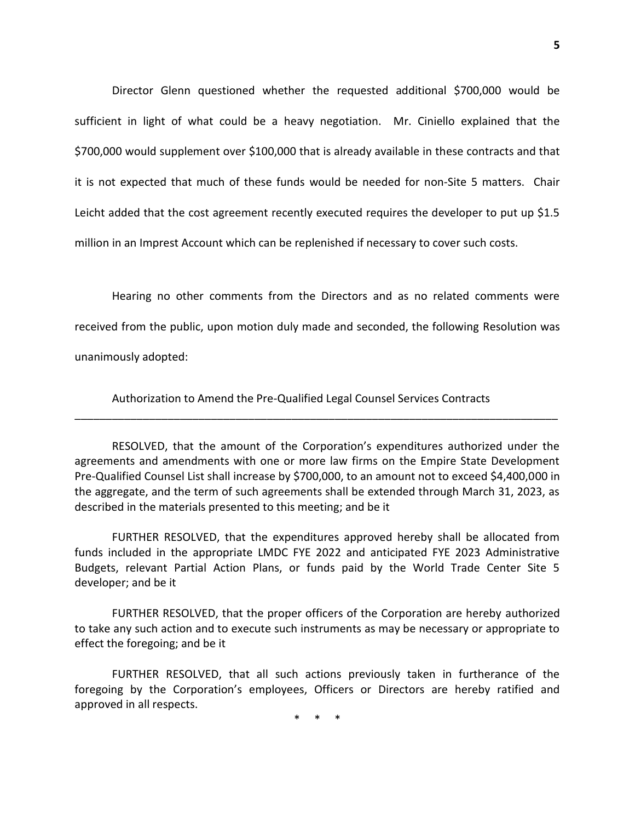Director Glenn questioned whether the requested additional \$700,000 would be sufficient in light of what could be a heavy negotiation. Mr. Ciniello explained that the \$700,000 would supplement over \$100,000 that is already available in these contracts and that it is not expected that much of these funds would be needed for non-Site 5 matters. Chair Leicht added that the cost agreement recently executed requires the developer to put up \$1.5 million in an Imprest Account which can be replenished if necessary to cover such costs.

Hearing no other comments from the Directors and as no related comments were received from the public, upon motion duly made and seconded, the following Resolution was unanimously adopted:

Authorization to Amend the Pre-Qualified Legal Counsel Services Contracts

RESOLVED, that the amount of the Corporation's expenditures authorized under the agreements and amendments with one or more law firms on the Empire State Development Pre-Qualified Counsel List shall increase by \$700,000, to an amount not to exceed \$4,400,000 in the aggregate, and the term of such agreements shall be extended through March 31, 2023, as described in the materials presented to this meeting; and be it

\_\_\_\_\_\_\_\_\_\_\_\_\_\_\_\_\_\_\_\_\_\_\_\_\_\_\_\_\_\_\_\_\_\_\_\_\_\_\_\_\_\_\_\_\_\_\_\_\_\_\_\_\_\_\_\_\_\_\_\_\_\_\_\_\_\_\_\_\_\_\_\_\_\_\_\_\_\_

FURTHER RESOLVED, that the expenditures approved hereby shall be allocated from funds included in the appropriate LMDC FYE 2022 and anticipated FYE 2023 Administrative Budgets, relevant Partial Action Plans, or funds paid by the World Trade Center Site 5 developer; and be it

FURTHER RESOLVED, that the proper officers of the Corporation are hereby authorized to take any such action and to execute such instruments as may be necessary or appropriate to effect the foregoing; and be it

FURTHER RESOLVED, that all such actions previously taken in furtherance of the foregoing by the Corporation's employees, Officers or Directors are hereby ratified and approved in all respects.

\* \* \*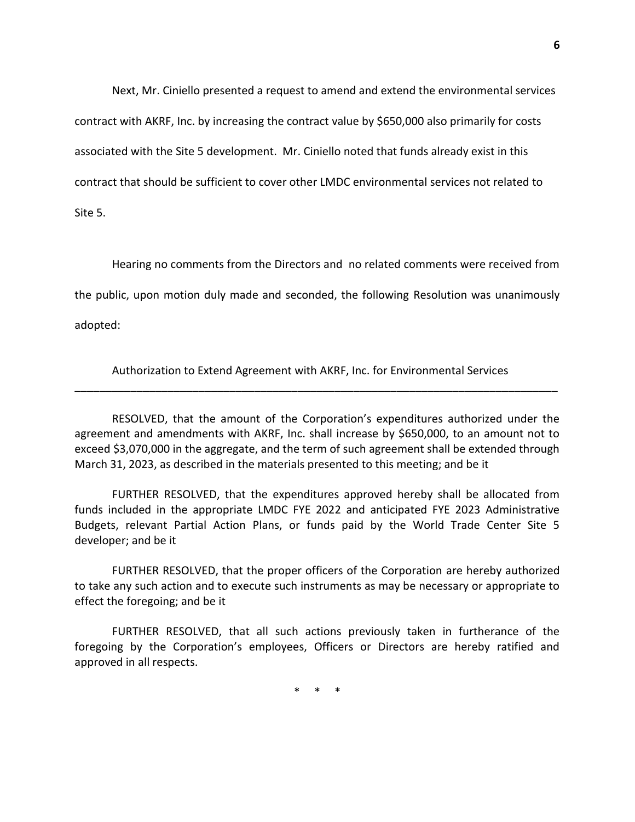Next, Mr. Ciniello presented a request to amend and extend the environmental services contract with AKRF, Inc. by increasing the contract value by \$650,000 also primarily for costs associated with the Site 5 development. Mr. Ciniello noted that funds already exist in this contract that should be sufficient to cover other LMDC environmental services not related to Site 5.

Hearing no comments from the Directors and no related comments were received from

the public, upon motion duly made and seconded, the following Resolution was unanimously

adopted:

Authorization to Extend Agreement with AKRF, Inc. for Environmental Services \_\_\_\_\_\_\_\_\_\_\_\_\_\_\_\_\_\_\_\_\_\_\_\_\_\_\_\_\_\_\_\_\_\_\_\_\_\_\_\_\_\_\_\_\_\_\_\_\_\_\_\_\_\_\_\_\_\_\_\_\_\_\_\_\_\_\_\_\_\_\_\_\_\_\_\_\_\_

RESOLVED, that the amount of the Corporation's expenditures authorized under the agreement and amendments with AKRF, Inc. shall increase by \$650,000, to an amount not to exceed \$3,070,000 in the aggregate, and the term of such agreement shall be extended through March 31, 2023, as described in the materials presented to this meeting; and be it

FURTHER RESOLVED, that the expenditures approved hereby shall be allocated from funds included in the appropriate LMDC FYE 2022 and anticipated FYE 2023 Administrative Budgets, relevant Partial Action Plans, or funds paid by the World Trade Center Site 5 developer; and be it

FURTHER RESOLVED, that the proper officers of the Corporation are hereby authorized to take any such action and to execute such instruments as may be necessary or appropriate to effect the foregoing; and be it

FURTHER RESOLVED, that all such actions previously taken in furtherance of the foregoing by the Corporation's employees, Officers or Directors are hereby ratified and approved in all respects.

\* \* \*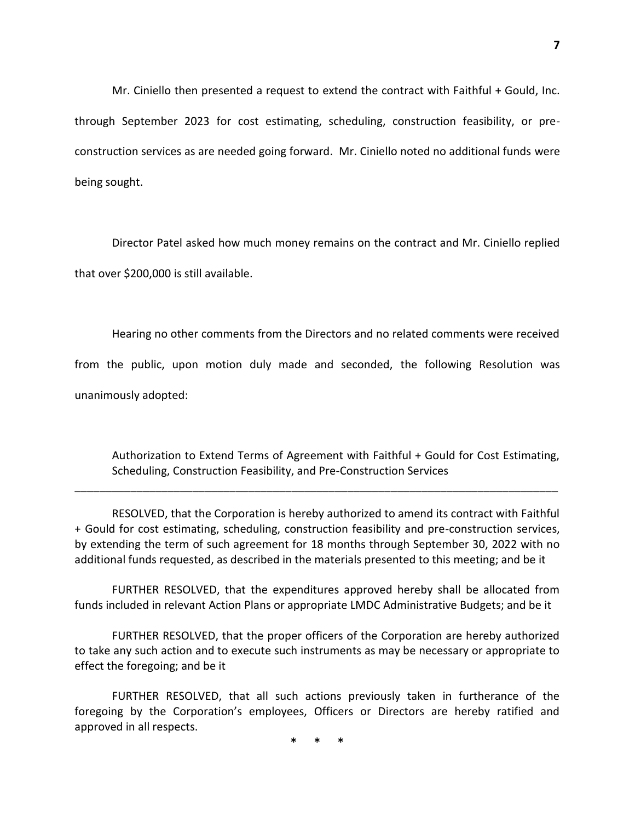Mr. Ciniello then presented a request to extend the contract with Faithful + Gould, Inc. through September 2023 for cost estimating, scheduling, construction feasibility, or preconstruction services as are needed going forward. Mr. Ciniello noted no additional funds were being sought.

Director Patel asked how much money remains on the contract and Mr. Ciniello replied that over \$200,000 is still available.

Hearing no other comments from the Directors and no related comments were received from the public, upon motion duly made and seconded, the following Resolution was unanimously adopted:

Authorization to Extend Terms of Agreement with Faithful + Gould for Cost Estimating, Scheduling, Construction Feasibility, and Pre-Construction Services

RESOLVED, that the Corporation is hereby authorized to amend its contract with Faithful + Gould for cost estimating, scheduling, construction feasibility and pre-construction services, by extending the term of such agreement for 18 months through September 30, 2022 with no additional funds requested, as described in the materials presented to this meeting; and be it

\_\_\_\_\_\_\_\_\_\_\_\_\_\_\_\_\_\_\_\_\_\_\_\_\_\_\_\_\_\_\_\_\_\_\_\_\_\_\_\_\_\_\_\_\_\_\_\_\_\_\_\_\_\_\_\_\_\_\_\_\_\_\_\_\_\_\_\_\_\_\_\_\_\_\_\_\_\_

FURTHER RESOLVED, that the expenditures approved hereby shall be allocated from funds included in relevant Action Plans or appropriate LMDC Administrative Budgets; and be it

FURTHER RESOLVED, that the proper officers of the Corporation are hereby authorized to take any such action and to execute such instruments as may be necessary or appropriate to effect the foregoing; and be it

FURTHER RESOLVED, that all such actions previously taken in furtherance of the foregoing by the Corporation's employees, Officers or Directors are hereby ratified and approved in all respects.

\* \* \*